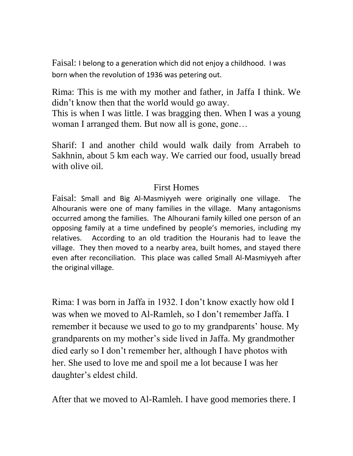Faisal: I belong to a generation which did not enjoy a childhood. I was born when the revolution of 1936 was petering out.

Rima: This is me with my mother and father, in Jaffa I think. We didn't know then that the world would go away.

This is when I was little. I was bragging then. When I was a young woman I arranged them. But now all is gone, gone...

Sharif: I and another child would walk daily from Arrabeh to Sakhnin, about 5 km each way. We carried our food, usually bread with olive oil.

## First Homes

Faisal: Small and Big Al-Masmiyyeh were originally one village. The Alhouranis were one of many families in the village. Many antagonisms occurred among the families. The Alhourani family killed one person of an opposing family at a time undefined by people's memories, including my relatives. According to an old tradition the Houranis had to leave the village. They then moved to a nearby area, built homes, and stayed there even after reconciliation. This place was called Small Al-Masmiyyeh after the original village.

Rima: I was born in Jaffa in 1932. I don't know exactly how old I was when we moved to Al-Ramleh, so I don't remember Jaffa. I remember it because we used to go to my grandparents' house. My grandparents on my mother's side lived in Jaffa. My grandmother died early so I don't remember her, although I have photos with her. She used to love me and spoil me a lot because I was her daughter's eldest child.

After that we moved to Al-Ramleh. I have good memories there. I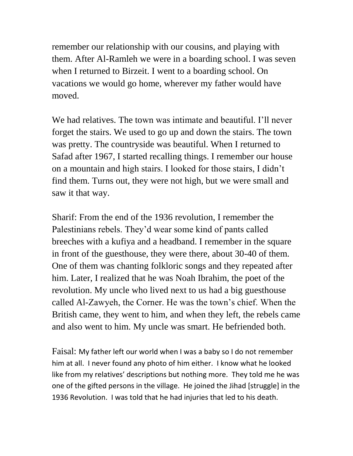remember our relationship with our cousins, and playing with them. After Al-Ramleh we were in a boarding school. I was seven when I returned to Birzeit. I went to a boarding school. On vacations we would go home, wherever my father would have moved.

We had relatives. The town was intimate and beautiful. I'll never forget the stairs. We used to go up and down the stairs. The town was pretty. The countryside was beautiful. When I returned to Safad after 1967, I started recalling things. I remember our house on a mountain and high stairs. I looked for those stairs, I didn't find them. Turns out, they were not high, but we were small and saw it that way.

Sharif: From the end of the 1936 revolution, I remember the Palestinians rebels. They'd wear some kind of pants called breeches with a kufiya and a headband. I remember in the square in front of the guesthouse, they were there, about 30-40 of them. One of them was chanting folkloric songs and they repeated after him. Later, I realized that he was Noah Ibrahim, the poet of the revolution. My uncle who lived next to us had a big guesthouse called Al-Zawyeh, the Corner. He was the town's chief. When the British came, they went to him, and when they left, the rebels came and also went to him. My uncle was smart. He befriended both.

Faisal: My father left our world when I was a baby so I do not remember him at all. I never found any photo of him either. I know what he looked like from my relatives' descriptions but nothing more. They told me he was one of the gifted persons in the village. He joined the Jihad [struggle] in the 1936 Revolution. I was told that he had injuries that led to his death.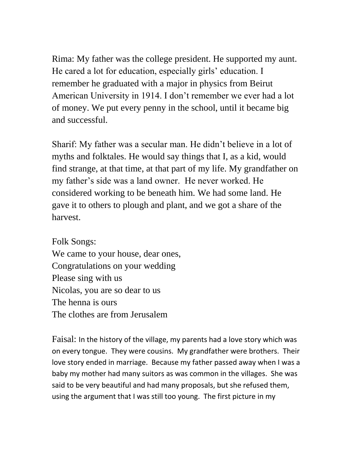Rima: My father was the college president. He supported my aunt. He cared a lot for education, especially girls' education. I remember he graduated with a major in physics from Beirut American University in 1914. I don't remember we ever had a lot of money. We put every penny in the school, until it became big and successful.

Sharif: My father was a secular man. He didn't believe in a lot of myths and folktales. He would say things that I, as a kid, would find strange, at that time, at that part of my life. My grandfather on my father's side was a land owner. He never worked. He considered working to be beneath him. We had some land. He gave it to others to plough and plant, and we got a share of the harvest.

Folk Songs: We came to your house, dear ones, Congratulations on your wedding Please sing with us Nicolas, you are so dear to us The henna is ours The clothes are from Jerusalem

Faisal: In the history of the village, my parents had a love story which was on every tongue. They were cousins. My grandfather were brothers. Their love story ended in marriage. Because my father passed away when I was a baby my mother had many suitors as was common in the villages. She was said to be very beautiful and had many proposals, but she refused them, using the argument that I was still too young. The first picture in my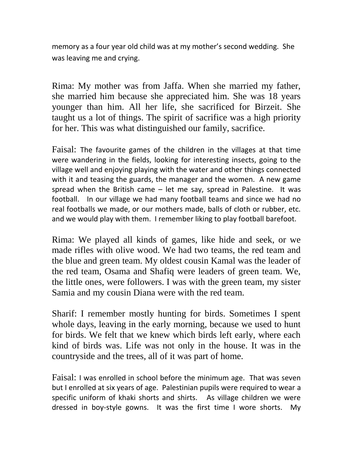memory as a four year old child was at my mother's second wedding. She was leaving me and crying.

Rima: My mother was from Jaffa. When she married my father, she married him because she appreciated him. She was 18 years younger than him. All her life, she sacrificed for Birzeit. She taught us a lot of things. The spirit of sacrifice was a high priority for her. This was what distinguished our family, sacrifice.

Faisal: The favourite games of the children in the villages at that time were wandering in the fields, looking for interesting insects, going to the village well and enjoying playing with the water and other things connected with it and teasing the guards, the manager and the women. A new game spread when the British came  $-$  let me say, spread in Palestine. It was football. In our village we had many football teams and since we had no real footballs we made, or our mothers made, balls of cloth or rubber, etc. and we would play with them. I remember liking to play football barefoot.

Rima: We played all kinds of games, like hide and seek, or we made rifles with olive wood. We had two teams, the red team and the blue and green team. My oldest cousin Kamal was the leader of the red team, Osama and Shafiq were leaders of green team. We, the little ones, were followers. I was with the green team, my sister Samia and my cousin Diana were with the red team.

Sharif: I remember mostly hunting for birds. Sometimes I spent whole days, leaving in the early morning, because we used to hunt for birds. We felt that we knew which birds left early, where each kind of birds was. Life was not only in the house. It was in the countryside and the trees, all of it was part of home.

Faisal: I was enrolled in school before the minimum age. That was seven but I enrolled at six years of age. Palestinian pupils were required to wear a specific uniform of khaki shorts and shirts. As village children we were dressed in boy-style gowns. It was the first time I wore shorts. My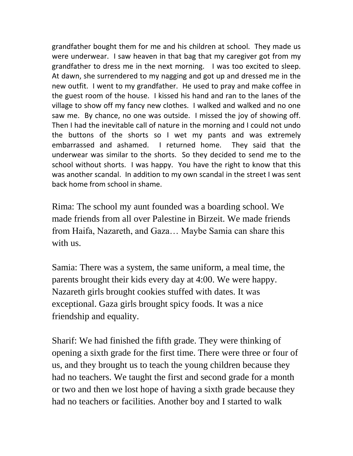grandfather bought them for me and his children at school. They made us were underwear. I saw heaven in that bag that my caregiver got from my grandfather to dress me in the next morning. I was too excited to sleep. At dawn, she surrendered to my nagging and got up and dressed me in the new outfit. I went to my grandfather. He used to pray and make coffee in the guest room of the house. I kissed his hand and ran to the lanes of the village to show off my fancy new clothes. I walked and walked and no one saw me. By chance, no one was outside. I missed the joy of showing off. Then I had the inevitable call of nature in the morning and I could not undo the buttons of the shorts so I wet my pants and was extremely embarrassed and ashamed. I returned home. They said that the underwear was similar to the shorts. So they decided to send me to the school without shorts. I was happy. You have the right to know that this was another scandal. In addition to my own scandal in the street I was sent back home from school in shame.

Rima: The school my aunt founded was a boarding school. We made friends from all over Palestine in Birzeit. We made friends from Haifa, Nazareth, and Gaza… Maybe Samia can share this with us.

Samia: There was a system, the same uniform, a meal time, the parents brought their kids every day at 4:00. We were happy. Nazareth girls brought cookies stuffed with dates. It was exceptional. Gaza girls brought spicy foods. It was a nice friendship and equality.

Sharif: We had finished the fifth grade. They were thinking of opening a sixth grade for the first time. There were three or four of us, and they brought us to teach the young children because they had no teachers. We taught the first and second grade for a month or two and then we lost hope of having a sixth grade because they had no teachers or facilities. Another boy and I started to walk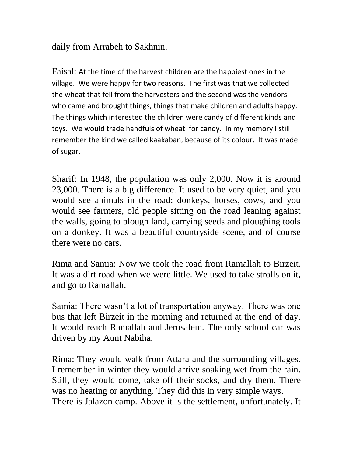daily from Arrabeh to Sakhnin.

Faisal: At the time of the harvest children are the happiest ones in the village. We were happy for two reasons. The first was that we collected the wheat that fell from the harvesters and the second was the vendors who came and brought things, things that make children and adults happy. The things which interested the children were candy of different kinds and toys. We would trade handfuls of wheat for candy. In my memory I still remember the kind we called kaakaban, because of its colour. It was made of sugar.

Sharif: In 1948, the population was only 2,000. Now it is around 23,000. There is a big difference. It used to be very quiet, and you would see animals in the road: donkeys, horses, cows, and you would see farmers, old people sitting on the road leaning against the walls, going to plough land, carrying seeds and ploughing tools on a donkey. It was a beautiful countryside scene, and of course there were no cars.

Rima and Samia: Now we took the road from Ramallah to Birzeit. It was a dirt road when we were little. We used to take strolls on it, and go to Ramallah.

Samia: There wasn't a lot of transportation anyway. There was one bus that left Birzeit in the morning and returned at the end of day. It would reach Ramallah and Jerusalem. The only school car was driven by my Aunt Nabiha.

Rima: They would walk from Attara and the surrounding villages. I remember in winter they would arrive soaking wet from the rain. Still, they would come, take off their socks, and dry them. There was no heating or anything. They did this in very simple ways. There is Jalazon camp. Above it is the settlement, unfortunately. It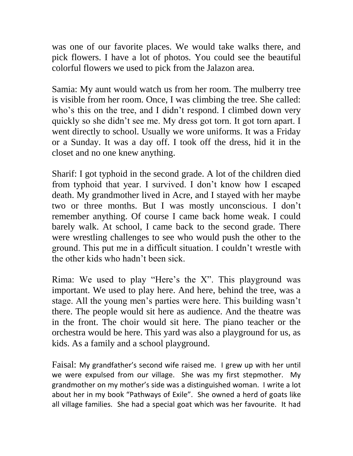was one of our favorite places. We would take walks there, and pick flowers. I have a lot of photos. You could see the beautiful colorful flowers we used to pick from the Jalazon area.

Samia: My aunt would watch us from her room. The mulberry tree is visible from her room. Once, I was climbing the tree. She called: who's this on the tree, and I didn't respond. I climbed down very quickly so she didn't see me. My dress got torn. It got torn apart. I went directly to school. Usually we wore uniforms. It was a Friday or a Sunday. It was a day off. I took off the dress, hid it in the closet and no one knew anything.

Sharif: I got typhoid in the second grade. A lot of the children died from typhoid that year. I survived. I don't know how I escaped death. My grandmother lived in Acre, and I stayed with her maybe two or three months. But I was mostly unconscious. I don't remember anything. Of course I came back home weak. I could barely walk. At school, I came back to the second grade. There were wrestling challenges to see who would push the other to the ground. This put me in a difficult situation. I couldn't wrestle with the other kids who hadn't been sick.

Rima: We used to play "Here's the X". This playground was important. We used to play here. And here, behind the tree, was a stage. All the young men's parties were here. This building wasn't there. The people would sit here as audience. And the theatre was in the front. The choir would sit here. The piano teacher or the orchestra would be here. This yard was also a playground for us, as kids. As a family and a school playground.

Faisal: My grandfather's second wife raised me. I grew up with her until we were expulsed from our village. She was my first stepmother. My grandmother on my mother's side was a distinguished woman. I write a lot about her in my book "Pathways of Exile". She owned a herd of goats like all village families. She had a special goat which was her favourite. It had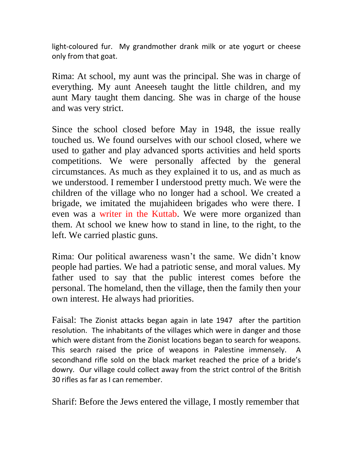light-coloured fur. My grandmother drank milk or ate yogurt or cheese only from that goat.

Rima: At school, my aunt was the principal. She was in charge of everything. My aunt Aneeseh taught the little children, and my aunt Mary taught them dancing. She was in charge of the house and was very strict.

Since the school closed before May in 1948, the issue really touched us. We found ourselves with our school closed, where we used to gather and play advanced sports activities and held sports competitions. We were personally affected by the general circumstances. As much as they explained it to us, and as much as we understood. I remember I understood pretty much. We were the children of the village who no longer had a school. We created a brigade, we imitated the mujahideen brigades who were there. I even was a writer in the Kuttab. We were more organized than them. At school we knew how to stand in line, to the right, to the left. We carried plastic guns.

Rima: Our political awareness wasn't the same. We didn't know people had parties. We had a patriotic sense, and moral values. My father used to say that the public interest comes before the personal. The homeland, then the village, then the family then your own interest. He always had priorities.

Faisal: The Zionist attacks began again in late 1947 after the partition resolution. The inhabitants of the villages which were in danger and those which were distant from the Zionist locations began to search for weapons. This search raised the price of weapons in Palestine immensely. A secondhand rifle sold on the black market reached the price of a bride's dowry. Our village could collect away from the strict control of the British 30 rifles as far as I can remember.

Sharif: Before the Jews entered the village, I mostly remember that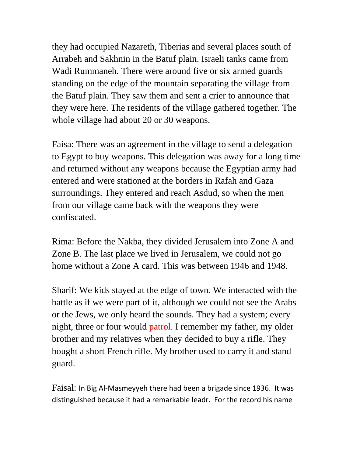they had occupied Nazareth, Tiberias and several places south of Arrabeh and Sakhnin in the Batuf plain. Israeli tanks came from Wadi Rummaneh. There were around five or six armed guards standing on the edge of the mountain separating the village from the Batuf plain. They saw them and sent a crier to announce that they were here. The residents of the village gathered together. The whole village had about 20 or 30 weapons.

Faisa: There was an agreement in the village to send a delegation to Egypt to buy weapons. This delegation was away for a long time and returned without any weapons because the Egyptian army had entered and were stationed at the borders in Rafah and Gaza surroundings. They entered and reach Asdud, so when the men from our village came back with the weapons they were confiscated.

Rima: Before the Nakba, they divided Jerusalem into Zone A and Zone B. The last place we lived in Jerusalem, we could not go home without a Zone A card. This was between 1946 and 1948.

Sharif: We kids stayed at the edge of town. We interacted with the battle as if we were part of it, although we could not see the Arabs or the Jews, we only heard the sounds. They had a system; every night, three or four would patrol. I remember my father, my older brother and my relatives when they decided to buy a rifle. They bought a short French rifle. My brother used to carry it and stand guard.

Faisal: In Big Al-Masmeyyeh there had been a brigade since 1936. It was distinguished because it had a remarkable leadr. For the record his name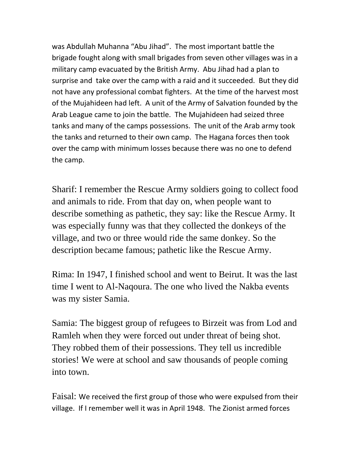was Abdullah Muhanna "Abu Jihad". The most important battle the brigade fought along with small brigades from seven other villages was in a military camp evacuated by the British Army. Abu Jihad had a plan to surprise and take over the camp with a raid and it succeeded. But they did not have any professional combat fighters. At the time of the harvest most of the Mujahideen had left. A unit of the Army of Salvation founded by the Arab League came to join the battle. The Mujahideen had seized three tanks and many of the camps possessions. The unit of the Arab army took the tanks and returned to their own camp. The Hagana forces then took over the camp with minimum losses because there was no one to defend the camp.

Sharif: I remember the Rescue Army soldiers going to collect food and animals to ride. From that day on, when people want to describe something as pathetic, they say: like the Rescue Army. It was especially funny was that they collected the donkeys of the village, and two or three would ride the same donkey. So the description became famous; pathetic like the Rescue Army.

Rima: In 1947, I finished school and went to Beirut. It was the last time I went to Al-Naqoura. The one who lived the Nakba events was my sister Samia.

Samia: The biggest group of refugees to Birzeit was from Lod and Ramleh when they were forced out under threat of being shot. They robbed them of their possessions. They tell us incredible stories! We were at school and saw thousands of people coming into town.

Faisal: We received the first group of those who were expulsed from their village. If I remember well it was in April 1948. The Zionist armed forces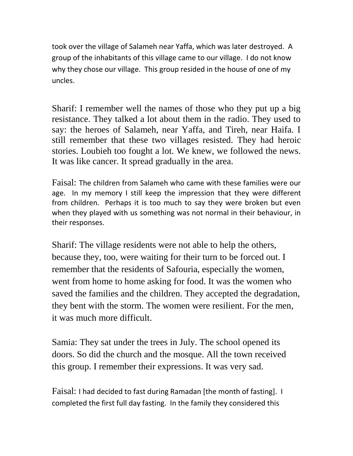took over the village of Salameh near Yaffa, which was later destroyed. A group of the inhabitants of this village came to our village. I do not know why they chose our village. This group resided in the house of one of my uncles.

Sharif: I remember well the names of those who they put up a big resistance. They talked a lot about them in the radio. They used to say: the heroes of Salameh, near Yaffa, and Tireh, near Haifa. I still remember that these two villages resisted. They had heroic stories. Loubieh too fought a lot. We knew, we followed the news. It was like cancer. It spread gradually in the area.

Faisal: The children from Salameh who came with these families were our age. In my memory I still keep the impression that they were different from children. Perhaps it is too much to say they were broken but even when they played with us something was not normal in their behaviour, in their responses.

Sharif: The village residents were not able to help the others, because they, too, were waiting for their turn to be forced out. I remember that the residents of Safouria, especially the women, went from home to home asking for food. It was the women who saved the families and the children. They accepted the degradation, they bent with the storm. The women were resilient. For the men, it was much more difficult.

Samia: They sat under the trees in July. The school opened its doors. So did the church and the mosque. All the town received this group. I remember their expressions. It was very sad.

Faisal: I had decided to fast during Ramadan [the month of fasting]. I completed the first full day fasting. In the family they considered this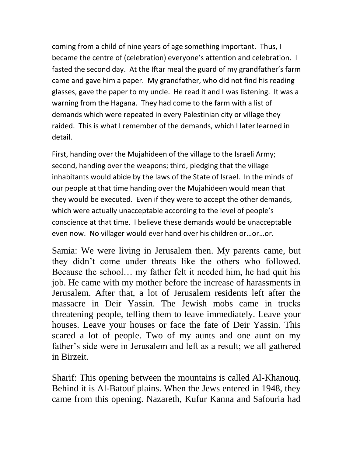coming from a child of nine years of age something important. Thus, I became the centre of (celebration) everyone's attention and celebration. I fasted the second day. At the Iftar meal the guard of my grandfather's farm came and gave him a paper. My grandfather, who did not find his reading glasses, gave the paper to my uncle. He read it and I was listening. It was a warning from the Hagana. They had come to the farm with a list of demands which were repeated in every Palestinian city or village they raided. This is what I remember of the demands, which I later learned in detail.

First, handing over the Mujahideen of the village to the Israeli Army; second, handing over the weapons; third, pledging that the village inhabitants would abide by the laws of the State of Israel. In the minds of our people at that time handing over the Mujahideen would mean that they would be executed. Even if they were to accept the other demands, which were actually unacceptable according to the level of people's conscience at that time. I believe these demands would be unacceptable even now. No villager would ever hand over his children or…or…or.

Samia: We were living in Jerusalem then. My parents came, but they didn't come under threats like the others who followed. Because the school… my father felt it needed him, he had quit his job. He came with my mother before the increase of harassments in Jerusalem. After that, a lot of Jerusalem residents left after the massacre in Deir Yassin. The Jewish mobs came in trucks threatening people, telling them to leave immediately. Leave your houses. Leave your houses or face the fate of Deir Yassin. This scared a lot of people. Two of my aunts and one aunt on my father's side were in Jerusalem and left as a result; we all gathered in Birzeit.

Sharif: This opening between the mountains is called Al-Khanouq. Behind it is Al-Batouf plains. When the Jews entered in 1948, they came from this opening. Nazareth, Kufur Kanna and Safouria had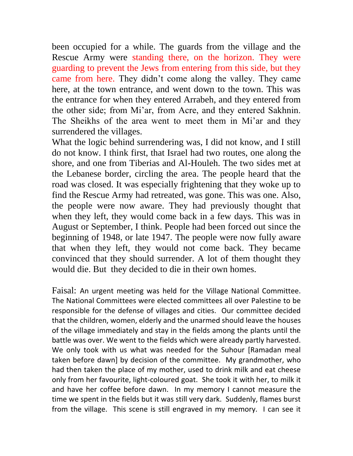been occupied for a while. The guards from the village and the Rescue Army were standing there, on the horizon. They were guarding to prevent the Jews from entering from this side, but they came from here. They didn't come along the valley. They came here, at the town entrance, and went down to the town. This was the entrance for when they entered Arrabeh, and they entered from the other side; from Mi'ar, from Acre, and they entered Sakhnin. The Sheikhs of the area went to meet them in Mi'ar and they surrendered the villages.

What the logic behind surrendering was, I did not know, and I still do not know. I think first, that Israel had two routes, one along the shore, and one from Tiberias and Al-Houleh. The two sides met at the Lebanese border, circling the area. The people heard that the road was closed. It was especially frightening that they woke up to find the Rescue Army had retreated, was gone. This was one. Also, the people were now aware. They had previously thought that when they left, they would come back in a few days. This was in August or September, I think. People had been forced out since the beginning of 1948, or late 1947. The people were now fully aware that when they left, they would not come back. They became convinced that they should surrender. A lot of them thought they would die. But they decided to die in their own homes.

Faisal: An urgent meeting was held for the Village National Committee. The National Committees were elected committees all over Palestine to be responsible for the defense of villages and cities. Our committee decided that the children, women, elderly and the unarmed should leave the houses of the village immediately and stay in the fields among the plants until the battle was over. We went to the fields which were already partly harvested. We only took with us what was needed for the Suhour [Ramadan meal taken before dawn] by decision of the committee. My grandmother, who had then taken the place of my mother, used to drink milk and eat cheese only from her favourite, light-coloured goat. She took it with her, to milk it and have her coffee before dawn. In my memory I cannot measure the time we spent in the fields but it was still very dark. Suddenly, flames burst from the village. This scene is still engraved in my memory. I can see it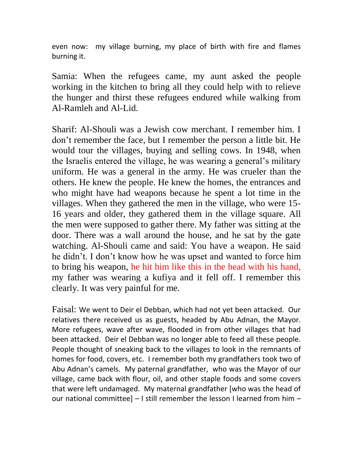even now: my village burning, my place of birth with fire and flames burning it.

Samia: When the refugees came, my aunt asked the people working in the kitchen to bring all they could help with to relieve the hunger and thirst these refugees endured while walking from Al-Ramleh and Al-Lid.

Sharif: Al-Shouli was a Jewish cow merchant. I remember him. I don't remember the face, but I remember the person a little bit. He would tour the villages, buying and selling cows. In 1948, when the Israelis entered the village, he was wearing a general's military uniform. He was a general in the army. He was crueler than the others. He knew the people. He knew the homes, the entrances and who might have had weapons because he spent a lot time in the villages. When they gathered the men in the village, who were 15- 16 years and older, they gathered them in the village square. All the men were supposed to gather there. My father was sitting at the door. There was a wall around the house, and he sat by the gate watching. Al-Shouli came and said: You have a weapon. He said he didn't. I don't know how he was upset and wanted to force him to bring his weapon, he hit him like this in the head with his hand, my father was wearing a kufiya and it fell off. I remember this clearly. It was very painful for me.

Faisal: We went to Deir el Debban, which had not yet been attacked. Our relatives there received us as guests, headed by Abu Adnan, the Mayor. More refugees, wave after wave, flooded in from other villages that had been attacked. Deir el Debban was no longer able to feed all these people. People thought of sneaking back to the villages to look in the remnants of homes for food, covers, etc. I remember both my grandfathers took two of Abu Adnan's camels. My paternal grandfather, who was the Mayor of our village, came back with flour, oil, and other staple foods and some covers that were left undamaged. My maternal grandfather [who was the head of our national committee] – I still remember the lesson I learned from him –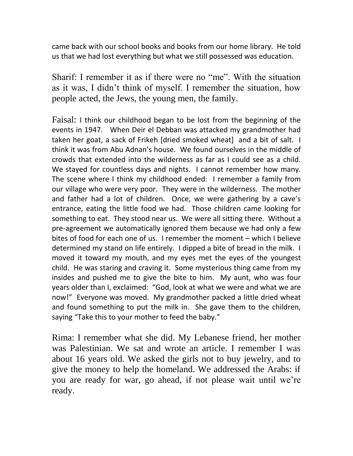came back with our school books and books from our home library. He told us that we had lost everything but what we still possessed was education.

Sharif: I remember it as if there were no "me". With the situation as it was, I didn't think of myself. I remember the situation, how people acted, the Jews, the young men, the family.

Faisal: I think our childhood began to be lost from the beginning of the events in 1947. When Deir el Debban was attacked my grandmother had taken her goat, a sack of Frikeh [dried smoked wheat] and a bit of salt. I think it was from Abu Adnan's house. We found ourselves in the middle of crowds that extended into the wilderness as far as I could see as a child. We stayed for countless days and nights. I cannot remember how many. The scene where I think my childhood ended: I remember a family from our village who were very poor. They were in the wilderness. The mother and father had a lot of children. Once, we were gathering by a cave's entrance, eating the little food we had. Those children came looking for something to eat. They stood near us. We were all sitting there. Without a pre-agreement we automatically ignored them because we had only a few bites of food for each one of us. I remember the moment – which I believe determined my stand on life entirely. I dipped a bite of bread in the milk. I moved it toward my mouth, and my eyes met the eyes of the youngest child. He was staring and craving it. Some mysterious thing came from my insides and pushed me to give the bite to him. My aunt, who was four years older than I, exclaimed: "God, look at what we were and what we are now!" Everyone was moved. My grandmother packed a little dried wheat and found something to put the milk in. She gave them to the children, saying "Take this to your mother to feed the baby."

Rima: I remember what she did. My Lebanese friend, her mother was Palestinian. We sat and wrote an article. I remember I was about 16 years old. We asked the girls not to buy jewelry, and to give the money to help the homeland. We addressed the Arabs: if you are ready for war, go ahead, if not please wait until we're ready.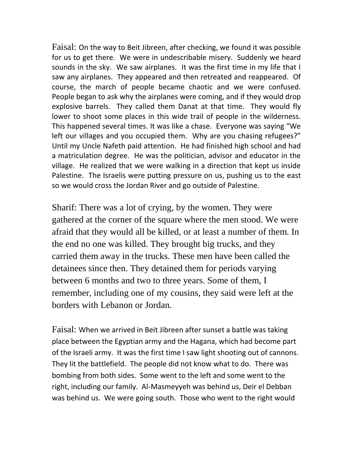Faisal: On the way to Beit Jibreen, after checking, we found it was possible for us to get there. We were in undescribable misery. Suddenly we heard sounds in the sky. We saw airplanes. It was the first time in my life that I saw any airplanes. They appeared and then retreated and reappeared. Of course, the march of people became chaotic and we were confused. People began to ask why the airplanes were coming, and if they would drop explosive barrels. They called them Danat at that time. They would fly lower to shoot some places in this wide trail of people in the wilderness. This happened several times. It was like a chase. Everyone was saying "We left our villages and you occupied them. Why are you chasing refugees?" Until my Uncle Nafeth paid attention. He had finished high school and had a matriculation degree. He was the politician, advisor and educator in the village. He realized that we were walking in a direction that kept us inside Palestine. The Israelis were putting pressure on us, pushing us to the east so we would cross the Jordan River and go outside of Palestine.

Sharif: There was a lot of crying, by the women. They were gathered at the corner of the square where the men stood. We were afraid that they would all be killed, or at least a number of them. In the end no one was killed. They brought big trucks, and they carried them away in the trucks. These men have been called the detainees since then. They detained them for periods varying between 6 months and two to three years. Some of them, I remember, including one of my cousins, they said were left at the borders with Lebanon or Jordan.

Faisal: When we arrived in Beit Jibreen after sunset a battle was taking place between the Egyptian army and the Hagana, which had become part of the Israeli army. It was the first time I saw light shooting out of cannons. They lit the battlefield. The people did not know what to do. There was bombing from both sides. Some went to the left and some went to the right, including our family. Al-Masmeyyeh was behind us, Deir el Debban was behind us. We were going south. Those who went to the right would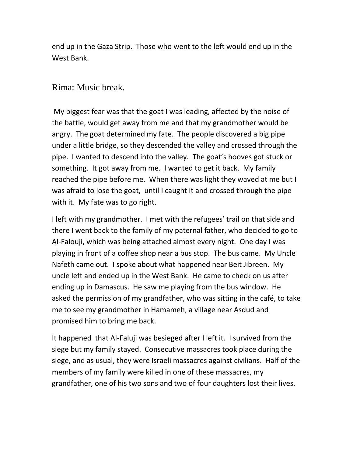end up in the Gaza Strip. Those who went to the left would end up in the West Bank.

## Rima: Music break.

My biggest fear was that the goat I was leading, affected by the noise of the battle, would get away from me and that my grandmother would be angry. The goat determined my fate. The people discovered a big pipe under a little bridge, so they descended the valley and crossed through the pipe. I wanted to descend into the valley. The goat's hooves got stuck or something. It got away from me. I wanted to get it back. My family reached the pipe before me. When there was light they waved at me but I was afraid to lose the goat, until I caught it and crossed through the pipe with it. My fate was to go right.

I left with my grandmother. I met with the refugees' trail on that side and there I went back to the family of my paternal father, who decided to go to Al-Falouji, which was being attached almost every night. One day I was playing in front of a coffee shop near a bus stop. The bus came. My Uncle Nafeth came out. I spoke about what happened near Beit Jibreen. My uncle left and ended up in the West Bank. He came to check on us after ending up in Damascus. He saw me playing from the bus window. He asked the permission of my grandfather, who was sitting in the café, to take me to see my grandmother in Hamameh, a village near Asdud and promised him to bring me back.

It happened that Al-Faluji was besieged after I left it. I survived from the siege but my family stayed. Consecutive massacres took place during the siege, and as usual, they were Israeli massacres against civilians. Half of the members of my family were killed in one of these massacres, my grandfather, one of his two sons and two of four daughters lost their lives.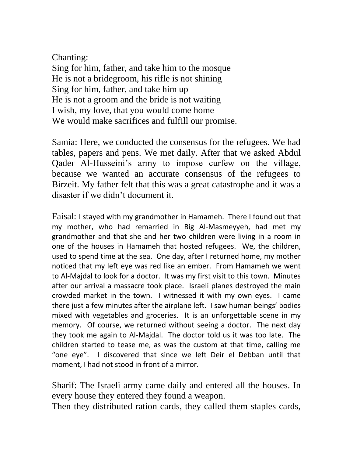## Chanting:

Sing for him, father, and take him to the mosque He is not a bridegroom, his rifle is not shining Sing for him, father, and take him up He is not a groom and the bride is not waiting I wish, my love, that you would come home We would make sacrifices and fulfill our promise.

Samia: Here, we conducted the consensus for the refugees. We had tables, papers and pens. We met daily. After that we asked Abdul Qader Al-Husseini's army to impose curfew on the village, because we wanted an accurate consensus of the refugees to Birzeit. My father felt that this was a great catastrophe and it was a disaster if we didn't document it.

Faisal: I stayed with my grandmother in Hamameh. There I found out that my mother, who had remarried in Big Al-Masmeyyeh, had met my grandmother and that she and her two children were living in a room in one of the houses in Hamameh that hosted refugees. We, the children, used to spend time at the sea. One day, after I returned home, my mother noticed that my left eye was red like an ember. From Hamameh we went to Al-Majdal to look for a doctor. It was my first visit to this town. Minutes after our arrival a massacre took place. Israeli planes destroyed the main crowded market in the town. I witnessed it with my own eyes. I came there just a few minutes after the airplane left. I saw human beings' bodies mixed with vegetables and groceries. It is an unforgettable scene in my memory. Of course, we returned without seeing a doctor. The next day they took me again to Al-Majdal. The doctor told us it was too late. The children started to tease me, as was the custom at that time, calling me "one eye". I discovered that since we left Deir el Debban until that moment, I had not stood in front of a mirror.

Sharif: The Israeli army came daily and entered all the houses. In every house they entered they found a weapon.

Then they distributed ration cards, they called them staples cards,